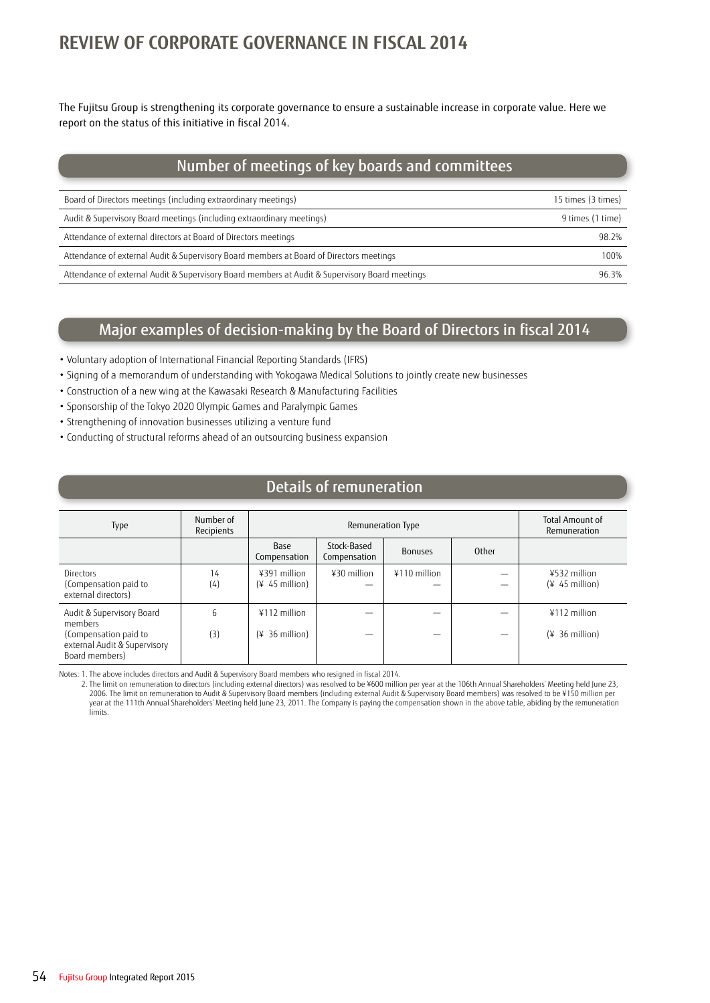# **REVIEW OF CORPORATE GOVERNANCE IN FISCAL 2014**

The Fujitsu Group is strengthening its corporate governance to ensure a sustainable increase in corporate value. Here we report on the status of this initiative in fiscal 2014.

# Number of meetings of key boards and committees

| Board of Directors meetings (including extraordinary meetings)                                 | 15 times (3 times) |
|------------------------------------------------------------------------------------------------|--------------------|
| Audit & Supervisory Board meetings (including extraordinary meetings)                          | 9 times (1 time)   |
| Attendance of external directors at Board of Directors meetings                                | 98.2%              |
| Attendance of external Audit & Supervisory Board members at Board of Directors meetings        | 100%               |
| Attendance of external Audit & Supervisory Board members at Audit & Supervisory Board meetings | 96.3%              |

### Major examples of decision-making by the Board of Directors in fiscal 2014

- Voluntary adoption of International Financial Reporting Standards (IFRS)
- Signing of a memorandum of understanding with Yokogawa Medical Solutions to jointly create new businesses
- Construction of a new wing at the Kawasaki Research & Manufacturing Facilities
- Sponsorship of the Tokyo 2020 Olympic Games and Paralympic Games
- Strengthening of innovation businesses utilizing a venture fund
- Conducting of structural reforms ahead of an outsourcing business expansion

### Details of remuneration

| Type                                                                                                            | Number of<br>Recipients | Remuneration Type                  |                             |                |       | <b>Total Amount of</b><br>Remuneration |
|-----------------------------------------------------------------------------------------------------------------|-------------------------|------------------------------------|-----------------------------|----------------|-------|----------------------------------------|
|                                                                                                                 |                         | Base<br>Compensation               | Stock-Based<br>Compensation | <b>Bonuses</b> | Other |                                        |
| Directors<br>(Compensation paid to<br>external directors)                                                       | 14<br>(4)               | ¥391 million<br>$(* 45 million)$   | $430$ million               | $4110$ million |       | ¥532 million<br>$(445$ million)        |
| Audit & Supervisory Board<br>members<br>(Compensation paid to<br>external Audit & Supervisory<br>Board members) | 6<br>(3)                | $4112$ million<br>$(* 36 million)$ |                             |                |       | $4112$ million<br>$(* 36 million)$     |

Notes: 1. The above includes directors and Audit & Supervisory Board members who resigned in fiscal 2014.

2. The limit on remuneration to directors (including external directors) was resolved to be ¥600 million per year at the 106th Annual Shareholders' Meeting held June 23, 2006. The limit on remuneration to Audit & Supervisory Board members (including external Audit & Supervisory Board members) was resolved to be ¥150 million per year at the 111th Annual Shareholders' Meeting held June 23, 2011. The Company is paying the compensation shown in the above table, abiding by the remuneration limits.